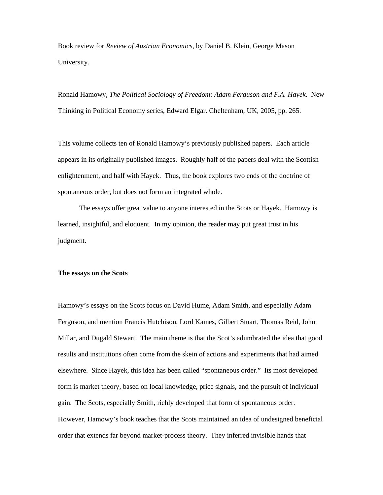Book review for *Review of Austrian Economics*, by Daniel B. Klein, George Mason University.

Ronald Hamowy, *The Political Sociology of Freedom: Adam Ferguson and F.A. Hayek*. New Thinking in Political Economy series, Edward Elgar. Cheltenham, UK, 2005, pp. 265.

This volume collects ten of Ronald Hamowy's previously published papers. Each article appears in its originally published images. Roughly half of the papers deal with the Scottish enlightenment, and half with Hayek. Thus, the book explores two ends of the doctrine of spontaneous order, but does not form an integrated whole.

The essays offer great value to anyone interested in the Scots or Hayek. Hamowy is learned, insightful, and eloquent. In my opinion, the reader may put great trust in his judgment.

## **The essays on the Scots**

Hamowy's essays on the Scots focus on David Hume, Adam Smith, and especially Adam Ferguson, and mention Francis Hutchison, Lord Kames, Gilbert Stuart, Thomas Reid, John Millar, and Dugald Stewart. The main theme is that the Scot's adumbrated the idea that good results and institutions often come from the skein of actions and experiments that had aimed elsewhere. Since Hayek, this idea has been called "spontaneous order." Its most developed form is market theory, based on local knowledge, price signals, and the pursuit of individual gain. The Scots, especially Smith, richly developed that form of spontaneous order. However, Hamowy's book teaches that the Scots maintained an idea of undesigned beneficial order that extends far beyond market-process theory. They inferred invisible hands that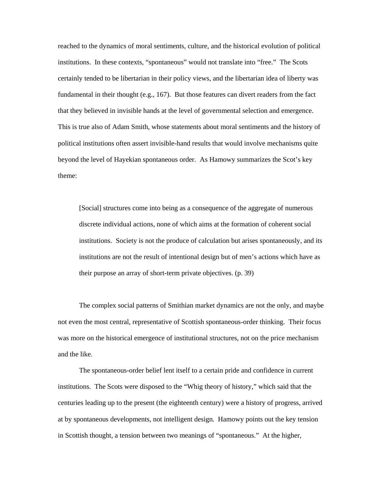reached to the dynamics of moral sentiments, culture, and the historical evolution of political institutions. In these contexts, "spontaneous" would not translate into "free." The Scots certainly tended to be libertarian in their policy views, and the libertarian idea of liberty was fundamental in their thought (e.g., 167). But those features can divert readers from the fact that they believed in invisible hands at the level of governmental selection and emergence. This is true also of Adam Smith, whose statements about moral sentiments and the history of political institutions often assert invisible-hand results that would involve mechanisms quite beyond the level of Hayekian spontaneous order. As Hamowy summarizes the Scot's key theme:

[Social] structures come into being as a consequence of the aggregate of numerous discrete individual actions, none of which aims at the formation of coherent social institutions. Society is not the produce of calculation but arises spontaneously, and its institutions are not the result of intentional design but of men's actions which have as their purpose an array of short-term private objectives. (p. 39)

The complex social patterns of Smithian market dynamics are not the only, and maybe not even the most central, representative of Scottish spontaneous-order thinking. Their focus was more on the historical emergence of institutional structures, not on the price mechanism and the like.

The spontaneous-order belief lent itself to a certain pride and confidence in current institutions. The Scots were disposed to the "Whig theory of history," which said that the centuries leading up to the present (the eighteenth century) were a history of progress, arrived at by spontaneous developments, not intelligent design. Hamowy points out the key tension in Scottish thought, a tension between two meanings of "spontaneous." At the higher,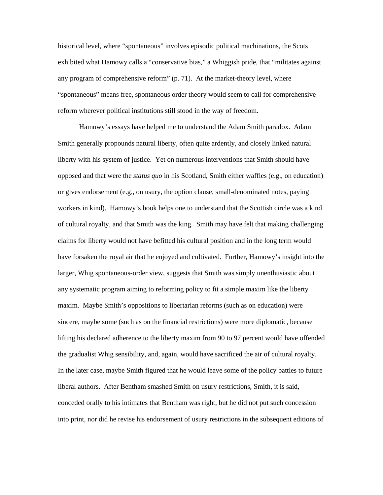historical level, where "spontaneous" involves episodic political machinations, the Scots exhibited what Hamowy calls a "conservative bias," a Whiggish pride, that "militates against any program of comprehensive reform" (p. 71). At the market-theory level, where "spontaneous" means free, spontaneous order theory would seem to call for comprehensive reform wherever political institutions still stood in the way of freedom.

Hamowy's essays have helped me to understand the Adam Smith paradox. Adam Smith generally propounds natural liberty, often quite ardently, and closely linked natural liberty with his system of justice. Yet on numerous interventions that Smith should have opposed and that were the *status quo* in his Scotland, Smith either waffles (e.g., on education) or gives endorsement (e.g., on usury, the option clause, small-denominated notes, paying workers in kind). Hamowy's book helps one to understand that the Scottish circle was a kind of cultural royalty, and that Smith was the king. Smith may have felt that making challenging claims for liberty would not have befitted his cultural position and in the long term would have forsaken the royal air that he enjoyed and cultivated. Further, Hamowy's insight into the larger, Whig spontaneous-order view, suggests that Smith was simply unenthusiastic about any systematic program aiming to reforming policy to fit a simple maxim like the liberty maxim. Maybe Smith's oppositions to libertarian reforms (such as on education) were sincere, maybe some (such as on the financial restrictions) were more diplomatic, because lifting his declared adherence to the liberty maxim from 90 to 97 percent would have offended the gradualist Whig sensibility, and, again, would have sacrificed the air of cultural royalty. In the later case, maybe Smith figured that he would leave some of the policy battles to future liberal authors. After Bentham smashed Smith on usury restrictions, Smith, it is said, conceded orally to his intimates that Bentham was right, but he did not put such concession into print, nor did he revise his endorsement of usury restrictions in the subsequent editions of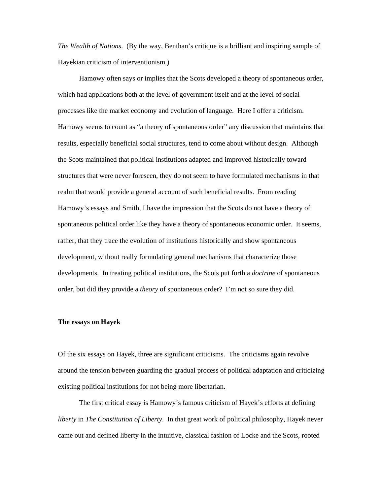*The Wealth of Nations*. (By the way, Benthan's critique is a brilliant and inspiring sample of Hayekian criticism of interventionism.)

Hamowy often says or implies that the Scots developed a theory of spontaneous order, which had applications both at the level of government itself and at the level of social processes like the market economy and evolution of language. Here I offer a criticism. Hamowy seems to count as "a theory of spontaneous order" any discussion that maintains that results, especially beneficial social structures, tend to come about without design. Although the Scots maintained that political institutions adapted and improved historically toward structures that were never foreseen, they do not seem to have formulated mechanisms in that realm that would provide a general account of such beneficial results. From reading Hamowy's essays and Smith, I have the impression that the Scots do not have a theory of spontaneous political order like they have a theory of spontaneous economic order. It seems, rather, that they trace the evolution of institutions historically and show spontaneous development, without really formulating general mechanisms that characterize those developments. In treating political institutions, the Scots put forth a *doctrine* of spontaneous order, but did they provide a *theory* of spontaneous order? I'm not so sure they did.

## **The essays on Hayek**

Of the six essays on Hayek, three are significant criticisms. The criticisms again revolve around the tension between guarding the gradual process of political adaptation and criticizing existing political institutions for not being more libertarian.

The first critical essay is Hamowy's famous criticism of Hayek's efforts at defining *liberty* in *The Constitution of Liberty*. In that great work of political philosophy, Hayek never came out and defined liberty in the intuitive, classical fashion of Locke and the Scots, rooted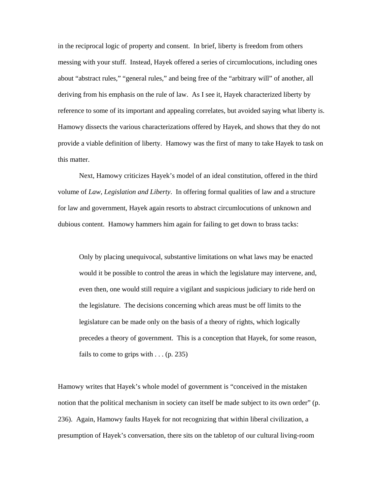in the reciprocal logic of property and consent. In brief, liberty is freedom from others messing with your stuff. Instead, Hayek offered a series of circumlocutions, including ones about "abstract rules," "general rules," and being free of the "arbitrary will" of another, all deriving from his emphasis on the rule of law. As I see it, Hayek characterized liberty by reference to some of its important and appealing correlates, but avoided saying what liberty is. Hamowy dissects the various characterizations offered by Hayek, and shows that they do not provide a viable definition of liberty. Hamowy was the first of many to take Hayek to task on this matter.

Next, Hamowy criticizes Hayek's model of an ideal constitution, offered in the third volume of *Law, Legislation and Liberty*. In offering formal qualities of law and a structure for law and government, Hayek again resorts to abstract circumlocutions of unknown and dubious content. Hamowy hammers him again for failing to get down to brass tacks:

Only by placing unequivocal, substantive limitations on what laws may be enacted would it be possible to control the areas in which the legislature may intervene, and, even then, one would still require a vigilant and suspicious judiciary to ride herd on the legislature. The decisions concerning which areas must be off limits to the legislature can be made only on the basis of a theory of rights, which logically precedes a theory of government. This is a conception that Hayek, for some reason, fails to come to grips with  $\dots$  (p. 235)

Hamowy writes that Hayek's whole model of government is "conceived in the mistaken notion that the political mechanism in society can itself be made subject to its own order" (p. 236). Again, Hamowy faults Hayek for not recognizing that within liberal civilization, a presumption of Hayek's conversation, there sits on the tabletop of our cultural living-room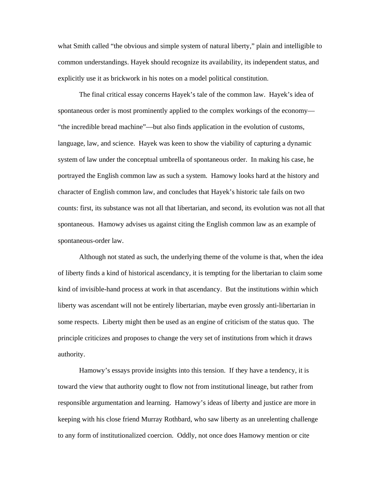what Smith called "the obvious and simple system of natural liberty," plain and intelligible to common understandings. Hayek should recognize its availability, its independent status, and explicitly use it as brickwork in his notes on a model political constitution.

The final critical essay concerns Hayek's tale of the common law. Hayek's idea of spontaneous order is most prominently applied to the complex workings of the economy— "the incredible bread machine"—but also finds application in the evolution of customs, language, law, and science. Hayek was keen to show the viability of capturing a dynamic system of law under the conceptual umbrella of spontaneous order. In making his case, he portrayed the English common law as such a system. Hamowy looks hard at the history and character of English common law, and concludes that Hayek's historic tale fails on two counts: first, its substance was not all that libertarian, and second, its evolution was not all that spontaneous. Hamowy advises us against citing the English common law as an example of spontaneous-order law.

Although not stated as such, the underlying theme of the volume is that, when the idea of liberty finds a kind of historical ascendancy, it is tempting for the libertarian to claim some kind of invisible-hand process at work in that ascendancy. But the institutions within which liberty was ascendant will not be entirely libertarian, maybe even grossly anti-libertarian in some respects. Liberty might then be used as an engine of criticism of the status quo. The principle criticizes and proposes to change the very set of institutions from which it draws authority.

Hamowy's essays provide insights into this tension. If they have a tendency, it is toward the view that authority ought to flow not from institutional lineage, but rather from responsible argumentation and learning. Hamowy's ideas of liberty and justice are more in keeping with his close friend Murray Rothbard, who saw liberty as an unrelenting challenge to any form of institutionalized coercion. Oddly, not once does Hamowy mention or cite